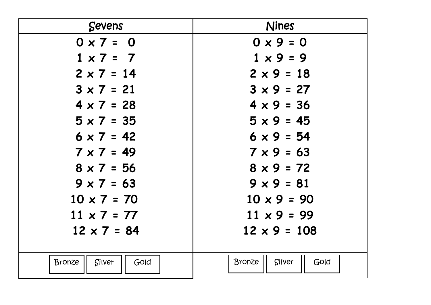| <b>Sevens</b>                   | <b>Nines</b>                    |
|---------------------------------|---------------------------------|
| $0 \times 7 = 0$                | $0 \times 9 = 0$                |
| $1 \times 7 = 7$                | $1 \times 9 = 9$                |
| $2 \times 7 = 14$               | $2 \times 9 = 18$               |
| $3 \times 7 = 21$               | $3 \times 9 = 27$               |
| $4 \times 7 = 28$               | $4 \times 9 = 36$               |
| $5 \times 7 = 35$               | $5 \times 9 = 45$               |
| $6 \times 7 = 42$               | $6 \times 9 = 54$               |
| $7 \times 7 = 49$               | $7 \times 9 = 63$               |
| $8 \times 7 = 56$               | $8 \times 9 = 72$               |
| $9 \times 7 = 63$               | $9 \times 9 = 81$               |
| $10 \times 7 = 70$              | $10 \times 9 = 90$              |
| $11 \times 7 = 77$              | $11 \times 9 = 99$              |
| $12 \times 7 = 84$              | $12 \times 9 = 108$             |
|                                 |                                 |
| <b>Bronze</b><br>Silver<br>Gold | <b>Bronze</b><br>Silver<br>Gold |